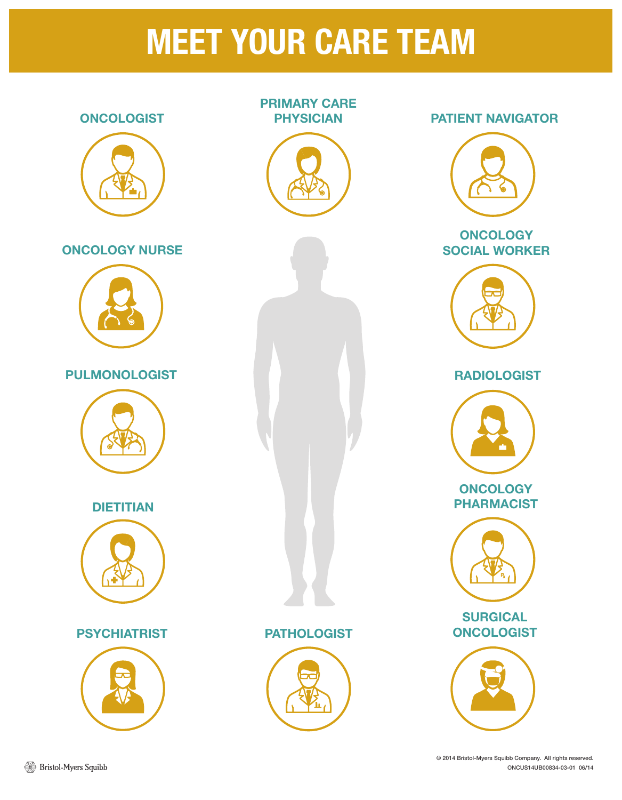## MEET YOUR CARE TEAM

# **ONCOLOGIST** PRIMARY CARE PHYSICIAN **ONCOLOGY** SOCIAL WORKER RADIOLOGIST **DIETITIAN** ONCOLOGY NURSE PATIENT NAVIGATOR PULMONOLOGIST **SURGICAL** PSYCHIATRIST PATHOLOGIST ONCOLOGIST **ONCOLOGY** PHARMACIST